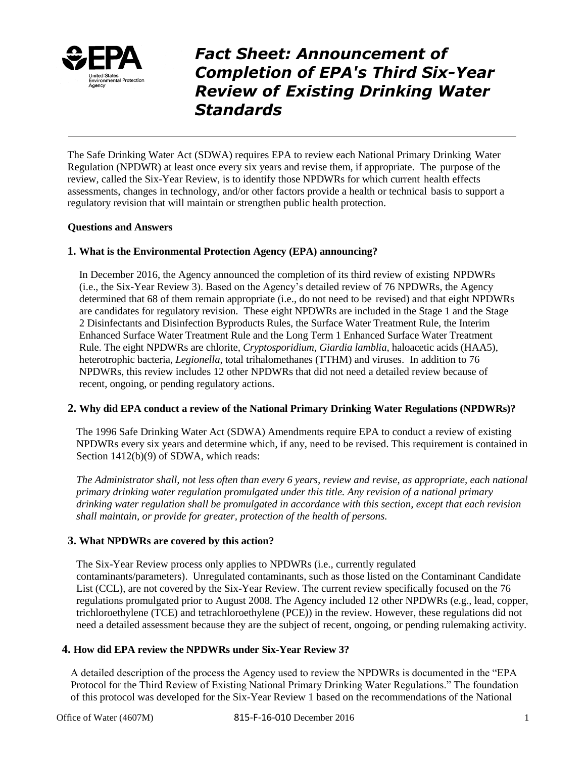

*Fact Sheet: Announcement of Completion of EPA's Third Six-Year Review of Existing Drinking Water Standards*

The Safe Drinking Water Act (SDWA) requires EPA to review each National Primary Drinking Water Regulation (NPDWR) at least once every six years and revise them, if appropriate. The purpose of the review, called the Six-Year Review, is to identify those NPDWRs for which current health effects assessments, changes in technology, and/or other factors provide a health or technical basis to support a regulatory revision that will maintain or strengthen public health protection.

#### **Questions and Answers**

#### **1. What is the Environmental Protection Agency (EPA) announcing?**

In December 2016, the Agency announced the completion of its third review of existing NPDWRs (i.e., the Six-Year Review 3). Based on the Agency's detailed review of 76 NPDWRs, the Agency determined that 68 of them remain appropriate (i.e., do not need to be revised) and that eight NPDWRs are candidates for regulatory revision. These eight NPDWRs are included in the Stage 1 and the Stage 2 Disinfectants and Disinfection Byproducts Rules, the Surface Water Treatment Rule, the Interim Enhanced Surface Water Treatment Rule and the Long Term 1 Enhanced Surface Water Treatment Rule. The eight NPDWRs are chlorite, *Cryptosporidium*, *Giardia lamblia*, haloacetic acids (HAA5), heterotrophic bacteria, *Legionella*, total trihalomethanes (TTHM) and viruses. In addition to 76 NPDWRs, this review includes 12 other NPDWRs that did not need a detailed review because of recent, ongoing, or pending regulatory actions.

#### **2. Why did EPA conduct a review of the National Primary Drinking Water Regulations (NPDWRs)?**

The 1996 Safe Drinking Water Act (SDWA) Amendments require EPA to conduct a review of existing NPDWRs every six years and determine which, if any, need to be revised. This requirement is contained in Section 1412(b)(9) of SDWA, which reads:

*The Administrator shall, not less often than every 6 years, review and revise, as appropriate, each national primary drinking water regulation promulgated under this title. Any revision of a national primary drinking water regulation shall be promulgated in accordance with this section, except that each revision shall maintain, or provide for greater, protection of the health of persons.*

#### **3. What NPDWRs are covered by this action?**

The Six-Year Review process only applies to NPDWRs (i.e., currently regulated contaminants/parameters). Unregulated contaminants, such as those listed on the Contaminant Candidate List (CCL), are not covered by the Six-Year Review. The current review specifically focused on the 76 regulations promulgated prior to August 2008. The Agency included 12 other NPDWRs (e.g., lead, copper, trichloroethylene (TCE) and tetrachloroethylene (PCE)) in the review. However, these regulations did not need a detailed assessment because they are the subject of recent, ongoing, or pending rulemaking activity.

#### **4. How did EPA review the NPDWRs under Six-Year Review 3?**

A detailed description of the process the Agency used to review the NPDWRs is documented in the "EPA Protocol for the Third Review of Existing National Primary Drinking Water Regulations." The foundation of this protocol was developed for the Six-Year Review 1 based on the recommendations of the National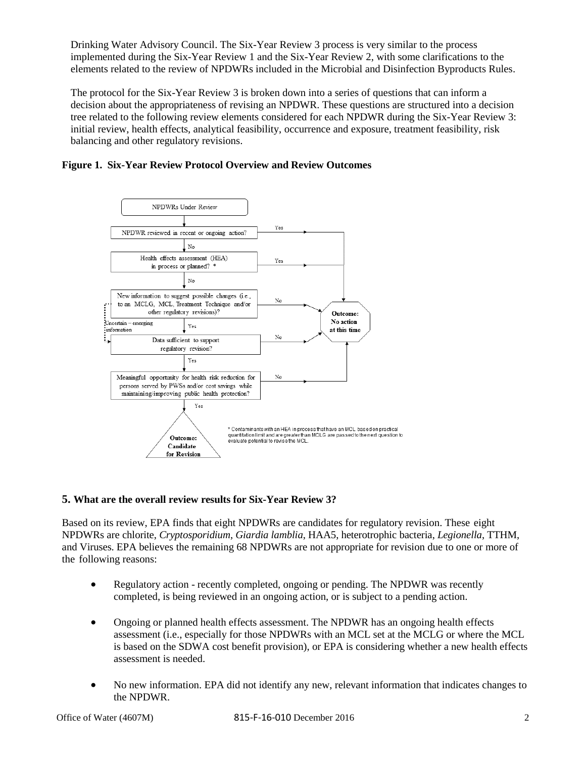Drinking Water Advisory Council. The Six-Year Review 3 process is very similar to the process implemented during the Six-Year Review 1 and the Six-Year Review 2, with some clarifications to the elements related to the review of NPDWRs included in the Microbial and Disinfection Byproducts Rules.

The protocol for the Six-Year Review 3 is broken down into a series of questions that can inform a decision about the appropriateness of revising an NPDWR. These questions are structured into a decision tree related to the following review elements considered for each NPDWR during the Six-Year Review 3: initial review, health effects, analytical feasibility, occurrence and exposure, treatment feasibility, risk balancing and other regulatory revisions.





#### **5. What are the overall review results for Six-Year Review 3?**

Based on its review, EPA finds that eight NPDWRs are candidates for regulatory revision. These eight NPDWRs are chlorite, *Cryptosporidium*, *Giardia lamblia*, HAA5, heterotrophic bacteria, *Legionella*, TTHM, and Viruses. EPA believes the remaining 68 NPDWRs are not appropriate for revision due to one or more of the following reasons:

- Regulatory action recently completed, ongoing or pending. The NPDWR was recently completed, is being reviewed in an ongoing action, or is subject to a pending action.
- Ongoing or planned health effects assessment. The NPDWR has an ongoing health effects assessment (i.e., especially for those NPDWRs with an MCL set at the MCLG or where the MCL is based on the SDWA cost benefit provision), or EPA is considering whether a new health effects assessment is needed.
- No new information. EPA did not identify any new, relevant information that indicates changes to the NPDWR.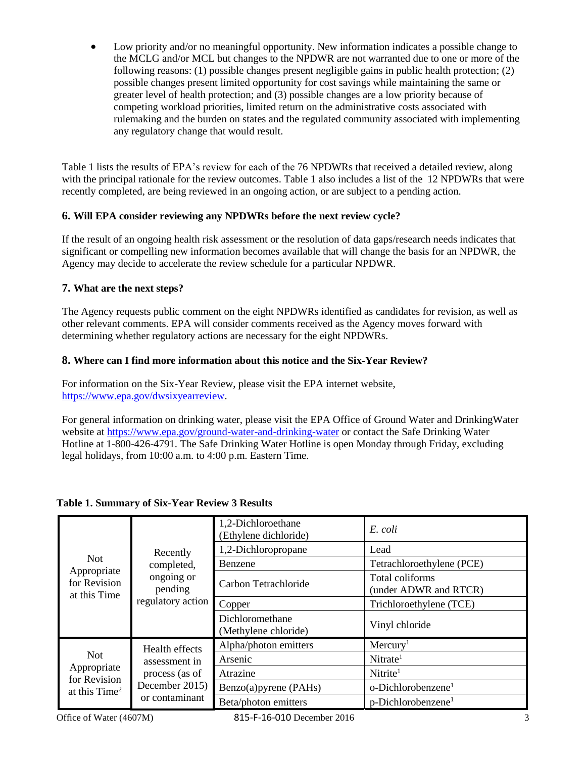Low priority and/or no meaningful opportunity. New information indicates a possible change to the MCLG and/or MCL but changes to the NPDWR are not warranted due to one or more of the following reasons: (1) possible changes present negligible gains in public health protection; (2) possible changes present limited opportunity for cost savings while maintaining the same or greater level of health protection; and (3) possible changes are a low priority because of competing workload priorities, limited return on the administrative costs associated with rulemaking and the burden on states and the regulated community associated with implementing any regulatory change that would result.

Table 1 lists the results of EPA's review for each of the 76 NPDWRs that received a detailed review, along with the principal rationale for the review outcomes. Table 1 also includes a list of the 12 NPDWRs that were recently completed, are being reviewed in an ongoing action, or are subject to a pending action.

## **6. Will EPA consider reviewing any NPDWRs before the next review cycle?**

If the result of an ongoing health risk assessment or the resolution of data gaps/research needs indicates that significant or compelling new information becomes available that will change the basis for an NPDWR, the Agency may decide to accelerate the review schedule for a particular NPDWR.

## **7. What are the next steps?**

The Agency requests public comment on the eight NPDWRs identified as candidates for revision, as well as other relevant comments. EPA will consider comments received as the Agency moves forward with determining whether regulatory actions are necessary for the eight NPDWRs.

## **8. Where can I find more information about this notice and the Six-Year Review?**

For information on the Six-Year Review, please visit the EPA internet website, [https://www.epa.gov/dwsixyearreview.](https://www.epa.gov/dwsixyearreview)

For general information on drinking water, please visit the EPA Office of Ground Water and DrinkingWater website at<https://www.epa.gov/ground-water-and-drinking-water> or contact the Safe Drinking Water Hotline at 1-800-426-4791. The Safe Drinking Water Hotline is open Monday through Friday, excluding legal holidays, from 10:00 a.m. to 4:00 p.m. Eastern Time.

| <b>Not</b><br>Appropriate<br>for Revision<br>at this Time | Recently<br>completed,<br>ongoing or<br>pending<br>regulatory action                  | 1,2-Dichloroethane<br>(Ethylene dichloride) | E. coli                                  |
|-----------------------------------------------------------|---------------------------------------------------------------------------------------|---------------------------------------------|------------------------------------------|
|                                                           |                                                                                       | 1,2-Dichloropropane                         | Lead                                     |
|                                                           |                                                                                       | Benzene                                     | Tetrachloroethylene (PCE)                |
|                                                           |                                                                                       | Carbon Tetrachloride                        | Total coliforms<br>(under ADWR and RTCR) |
|                                                           |                                                                                       | Copper                                      | Trichloroethylene (TCE)                  |
|                                                           |                                                                                       | Dichloromethane<br>(Methylene chloride)     | Vinyl chloride                           |
| Not.<br>Appropriate<br>for Revision<br>at this $Time2$    | Health effects<br>assessment in<br>process (as of<br>December 2015)<br>or contaminant | Alpha/photon emitters                       | Mercury <sup>1</sup>                     |
|                                                           |                                                                                       | Arsenic                                     | $N$ itrate <sup>1</sup>                  |
|                                                           |                                                                                       | Atrazine                                    | $N$ itrite <sup>1</sup>                  |
|                                                           |                                                                                       | Benzo(a)pyrene (PAHs)                       | o-Dichlorobenzene <sup>1</sup>           |
|                                                           |                                                                                       | Beta/photon emitters                        | $p$ -Dichlorobenzene <sup>1</sup>        |

# **Table 1. Summary of Six-Year Review 3 Results**